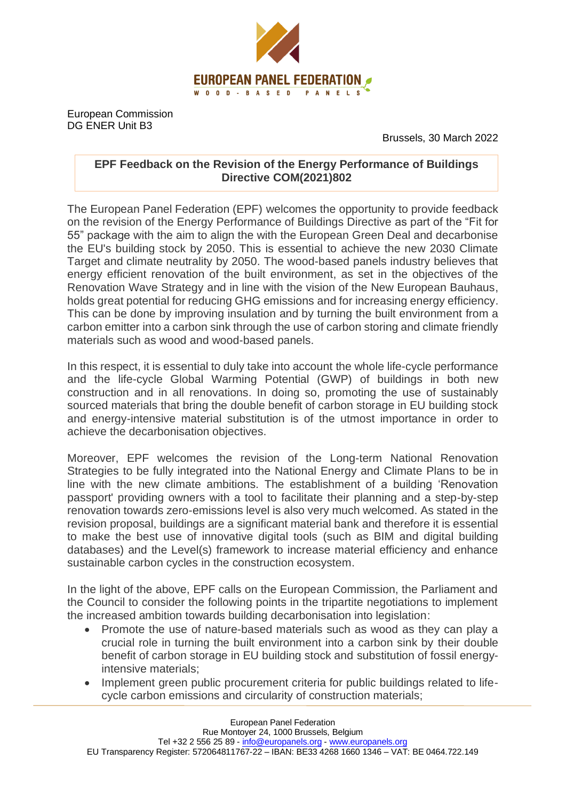

European Commission DG ENER Unit B3

Brussels, 30 March 2022

## **EPF Feedback on the Revision of the Energy Performance of Buildings Directive COM(2021)802**

The European Panel Federation (EPF) welcomes the opportunity to provide feedback on the revision of the Energy Performance of Buildings Directive as part of the "Fit for 55" package with the aim to align the with the European Green Deal and decarbonise the EU's building stock by 2050. This is essential to achieve the new 2030 Climate Target and climate neutrality by 2050. The wood-based panels industry believes that energy efficient renovation of the built environment, as set in the objectives of the Renovation Wave Strategy and in line with the vision of the New European Bauhaus, holds great potential for reducing GHG emissions and for increasing energy efficiency. This can be done by improving insulation and by turning the built environment from a carbon emitter into a carbon sink through the use of carbon storing and climate friendly materials such as wood and wood-based panels.

In this respect, it is essential to duly take into account the whole life-cycle performance and the life-cycle Global Warming Potential (GWP) of buildings in both new construction and in all renovations. In doing so, promoting the use of sustainably sourced materials that bring the double benefit of carbon storage in EU building stock and energy-intensive material substitution is of the utmost importance in order to achieve the decarbonisation objectives.

Moreover, EPF welcomes the revision of the Long-term National Renovation Strategies to be fully integrated into the National Energy and Climate Plans to be in line with the new climate ambitions. The establishment of a building 'Renovation passport' providing owners with a tool to facilitate their planning and a step-by-step renovation towards zero-emissions level is also very much welcomed. As stated in the revision proposal, buildings are a significant material bank and therefore it is essential to make the best use of innovative digital tools (such as BIM and digital building databases) and the Level(s) framework to increase material efficiency and enhance sustainable carbon cycles in the construction ecosystem.

In the light of the above, EPF calls on the European Commission, the Parliament and the Council to consider the following points in the tripartite negotiations to implement the increased ambition towards building decarbonisation into legislation:

- Promote the use of nature-based materials such as wood as they can play a crucial role in turning the built environment into a carbon sink by their double benefit of carbon storage in EU building stock and substitution of fossil energyintensive materials;
- Implement green public procurement criteria for public buildings related to lifecycle carbon emissions and circularity of construction materials;